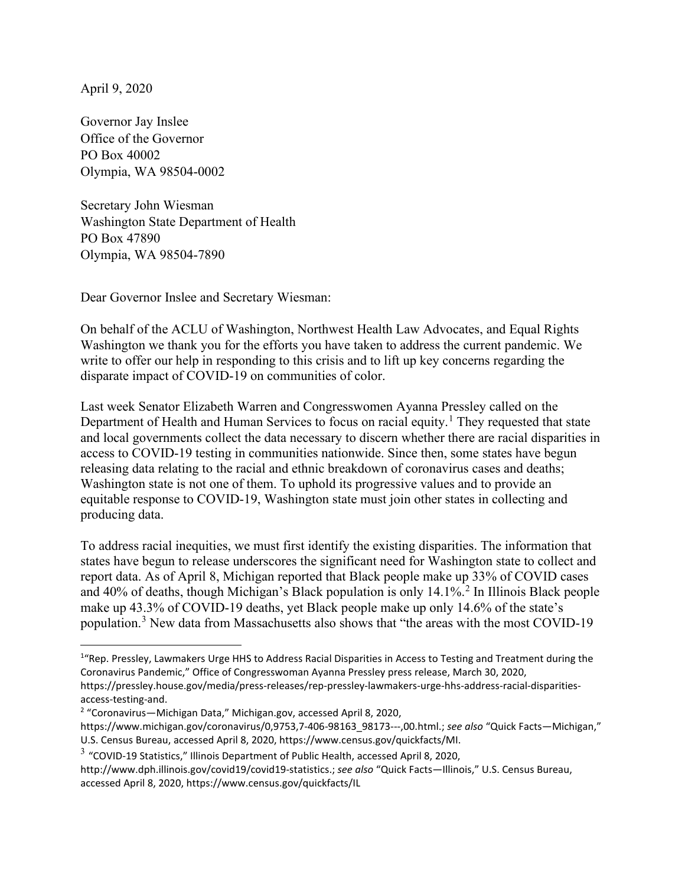April 9, 2020

Governor Jay Inslee Office of the Governor PO Box 40002 Olympia, WA 98504-0002

Secretary John Wiesman Washington State Department of Health PO Box 47890 Olympia, WA 98504-7890

Dear Governor Inslee and Secretary Wiesman:

On behalf of the ACLU of Washington, Northwest Health Law Advocates, and Equal Rights Washington we thank you for the efforts you have taken to address the current pandemic. We write to offer our help in responding to this crisis and to lift up key concerns regarding the disparate impact of COVID-19 on communities of color.

Last week Senator Elizabeth Warren and Congresswomen Ayanna Pressley called on the Department of Health and Human Services to focus on racial equity.<sup>1</sup> They requested that state and local governments collect the data necessary to discern whether there are racial disparities in access to COVID-19 testing in communities nationwide. Since then, some states have begun releasing data relating to the racial and ethnic breakdown of coronavirus cases and deaths; Washington state is not one of them. To uphold its progressive values and to provide an equitable response to COVID-19, Washington state must join other states in collecting and producing data.

To address racial inequities, we must first identify the existing disparities. The information that states have begun to release underscores the significant need for Washington state to collect and report data. As of April 8, Michigan reported that Black people make up 33% of COVID cases and  $40\%$  of deaths, though Michigan's Black population is only  $14.1\%$ <sup>2</sup> In Illinois Black people make up 43.3% of COVID-19 deaths, yet Black people make up only 14.6% of the state's population.<sup>3</sup> New data from Massachusetts also shows that "the areas with the most COVID-19

<sup>&</sup>lt;sup>1</sup> Rep. Pressley, Lawmakers Urge HHS to Address Racial Disparities in Access to Testing and Treatment during the Coronavirus Pandemic," Office of Congresswoman Ayanna Pressley press release, March 30, 2020, https://pressley.house.gov/media/press-releases/rep-pressley-lawmakers-urge-hhs-address-racial-disparities-

access-testing-and.

<sup>2</sup> "Coronavirus—Michigan Data," Michigan.gov, accessed April 8, 2020,

https://www.michigan.gov/coronavirus/0,9753,7-406-98163\_98173---,00.html.; *see also* "Quick Facts—Michigan," U.S. Census Bureau, accessed April 8, 2020, https://www.census.gov/quickfacts/MI.

 $3$  "COVID-19 Statistics," Illinois Department of Public Health, accessed April 8, 2020,

http://www.dph.illinois.gov/covid19/covid19-statistics.; *see also* "Quick Facts—Illinois," U.S. Census Bureau, accessed April 8, 2020, https://www.census.gov/quickfacts/IL